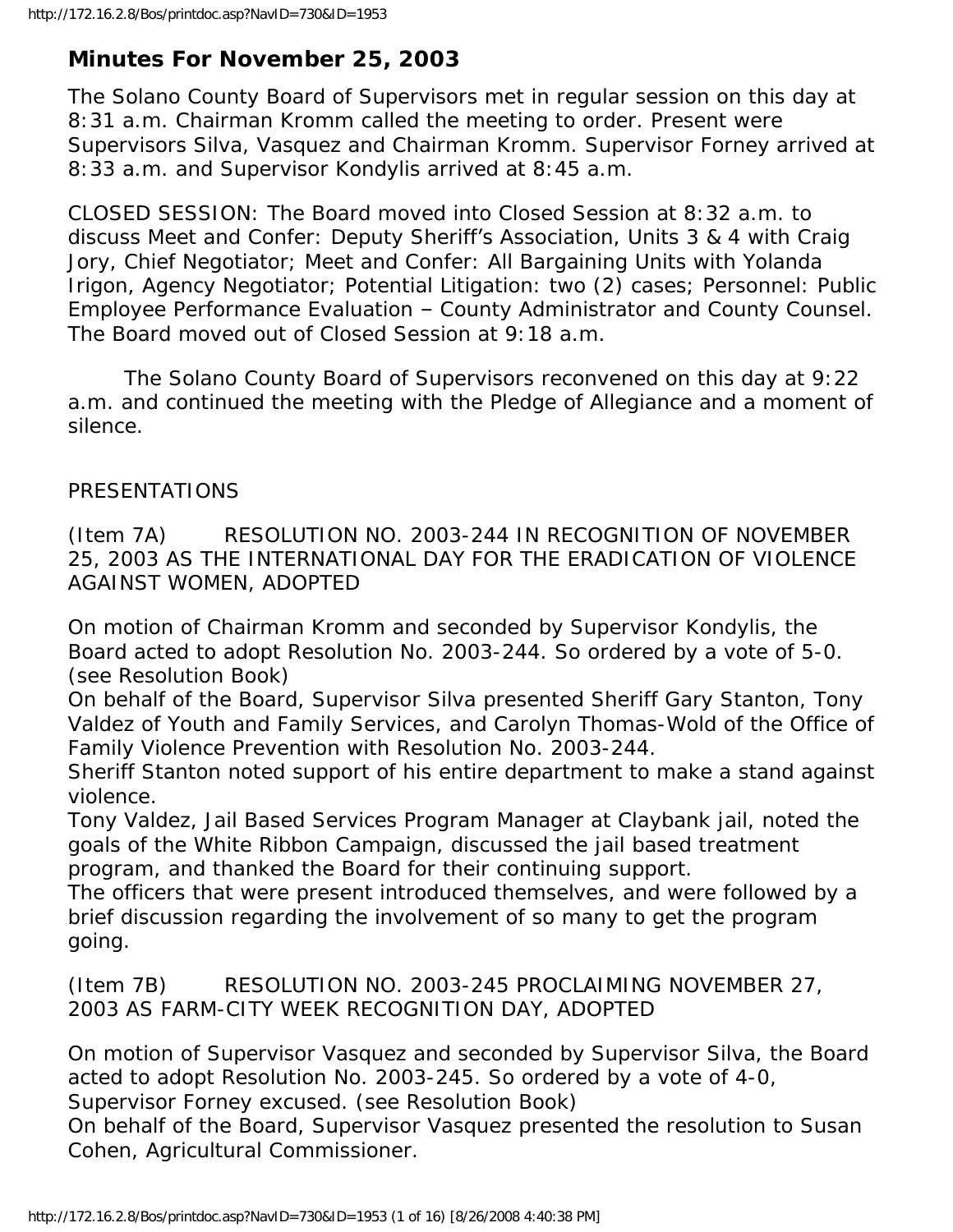# **Minutes For November 25, 2003**

The Solano County Board of Supervisors met in regular session on this day at 8:31 a.m. Chairman Kromm called the meeting to order. Present were Supervisors Silva, Vasquez and Chairman Kromm. Supervisor Forney arrived at 8:33 a.m. and Supervisor Kondylis arrived at 8:45 a.m.

CLOSED SESSION: The Board moved into Closed Session at 8:32 a.m. to discuss Meet and Confer: Deputy Sheriff's Association, Units 3 & 4 with Craig Jory, Chief Negotiator; Meet and Confer: All Bargaining Units with Yolanda Irigon, Agency Negotiator; Potential Litigation: two (2) cases; Personnel: Public Employee Performance Evaluation – County Administrator and County Counsel. The Board moved out of Closed Session at 9:18 a.m.

 The Solano County Board of Supervisors reconvened on this day at 9:22 a.m. and continued the meeting with the Pledge of Allegiance and a moment of silence.

## PRESENTATIONS

(Item 7A) RESOLUTION NO. 2003-244 IN RECOGNITION OF NOVEMBER 25, 2003 AS THE INTERNATIONAL DAY FOR THE ERADICATION OF VIOLENCE AGAINST WOMEN, ADOPTED

On motion of Chairman Kromm and seconded by Supervisor Kondylis, the Board acted to adopt Resolution No. 2003-244. So ordered by a vote of 5-0. (see Resolution Book)

On behalf of the Board, Supervisor Silva presented Sheriff Gary Stanton, Tony Valdez of Youth and Family Services, and Carolyn Thomas-Wold of the Office of Family Violence Prevention with Resolution No. 2003-244.

Sheriff Stanton noted support of his entire department to make a stand against violence.

Tony Valdez, Jail Based Services Program Manager at Claybank jail, noted the goals of the White Ribbon Campaign, discussed the jail based treatment program, and thanked the Board for their continuing support.

The officers that were present introduced themselves, and were followed by a brief discussion regarding the involvement of so many to get the program going.

(Item 7B) RESOLUTION NO. 2003-245 PROCLAIMING NOVEMBER 27, 2003 AS FARM-CITY WEEK RECOGNITION DAY, ADOPTED

On motion of Supervisor Vasquez and seconded by Supervisor Silva, the Board acted to adopt Resolution No. 2003-245. So ordered by a vote of 4-0,

Supervisor Forney excused. (see Resolution Book)

On behalf of the Board, Supervisor Vasquez presented the resolution to Susan Cohen, Agricultural Commissioner.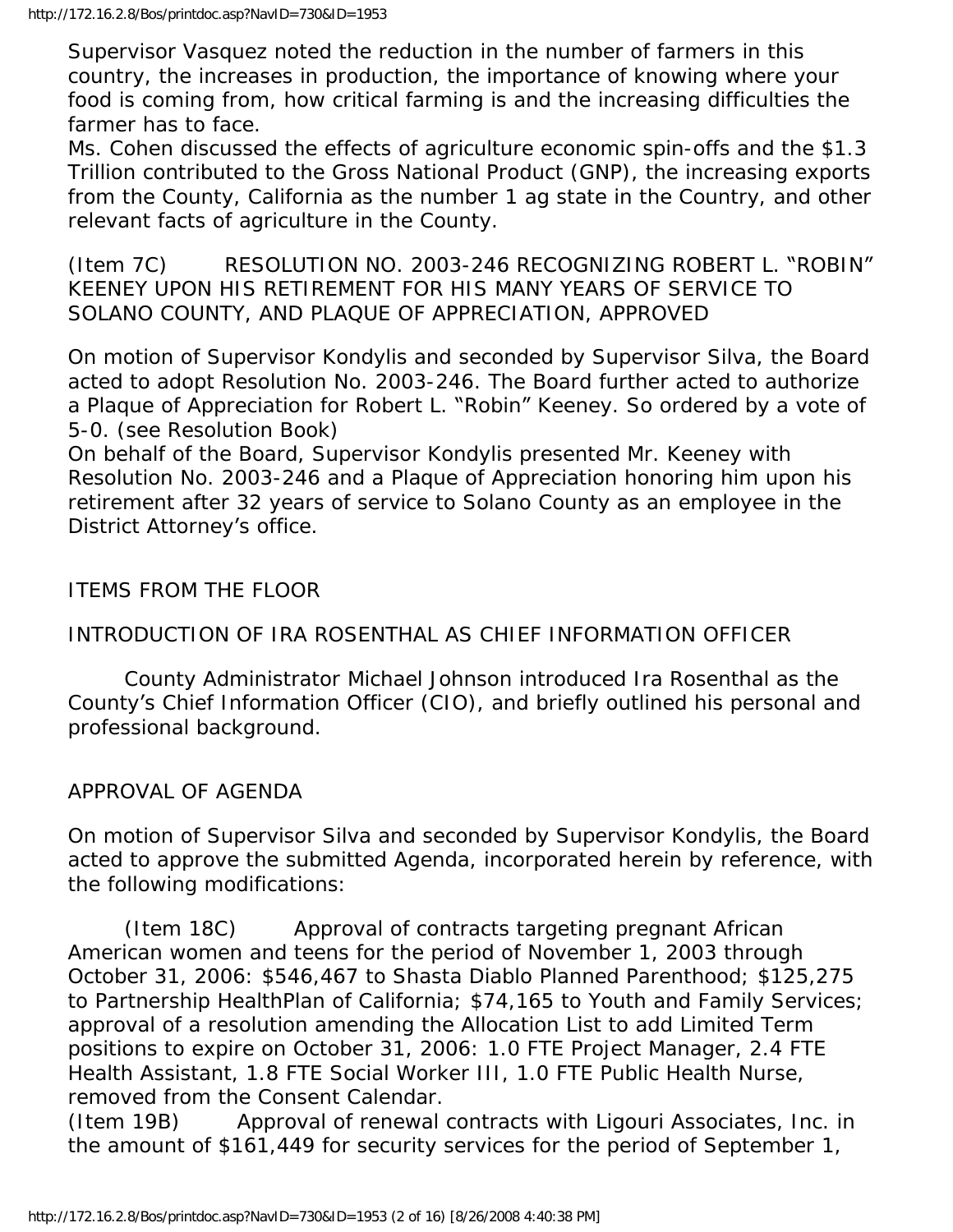Supervisor Vasquez noted the reduction in the number of farmers in this country, the increases in production, the importance of knowing where your food is coming from, how critical farming is and the increasing difficulties the farmer has to face.

Ms. Cohen discussed the effects of agriculture economic spin-offs and the \$1.3 Trillion contributed to the Gross National Product (GNP), the increasing exports from the County, California as the number 1 ag state in the Country, and other relevant facts of agriculture in the County.

(Item 7C) RESOLUTION NO. 2003-246 RECOGNIZING ROBERT L. "ROBIN" KEENEY UPON HIS RETIREMENT FOR HIS MANY YEARS OF SERVICE TO SOLANO COUNTY, AND PLAQUE OF APPRECIATION, APPROVED

On motion of Supervisor Kondylis and seconded by Supervisor Silva, the Board acted to adopt Resolution No. 2003-246. The Board further acted to authorize a Plaque of Appreciation for Robert L. "Robin" Keeney. So ordered by a vote of 5-0. (see Resolution Book)

On behalf of the Board, Supervisor Kondylis presented Mr. Keeney with Resolution No. 2003-246 and a Plaque of Appreciation honoring him upon his retirement after 32 years of service to Solano County as an employee in the District Attorney's office.

ITEMS FROM THE FLOOR

INTRODUCTION OF IRA ROSENTHAL AS CHIEF INFORMATION OFFICER

 County Administrator Michael Johnson introduced Ira Rosenthal as the County's Chief Information Officer (CIO), and briefly outlined his personal and professional background.

APPROVAL OF AGENDA

On motion of Supervisor Silva and seconded by Supervisor Kondylis, the Board acted to approve the submitted Agenda, incorporated herein by reference, with the following modifications:

 (Item 18C) Approval of contracts targeting pregnant African American women and teens for the period of November 1, 2003 through October 31, 2006: \$546,467 to Shasta Diablo Planned Parenthood; \$125,275 to Partnership HealthPlan of California; \$74,165 to Youth and Family Services; approval of a resolution amending the Allocation List to add Limited Term positions to expire on October 31, 2006: 1.0 FTE Project Manager, 2.4 FTE Health Assistant, 1.8 FTE Social Worker III, 1.0 FTE Public Health Nurse, removed from the Consent Calendar.

(Item 19B) Approval of renewal contracts with Ligouri Associates, Inc. in the amount of \$161,449 for security services for the period of September 1,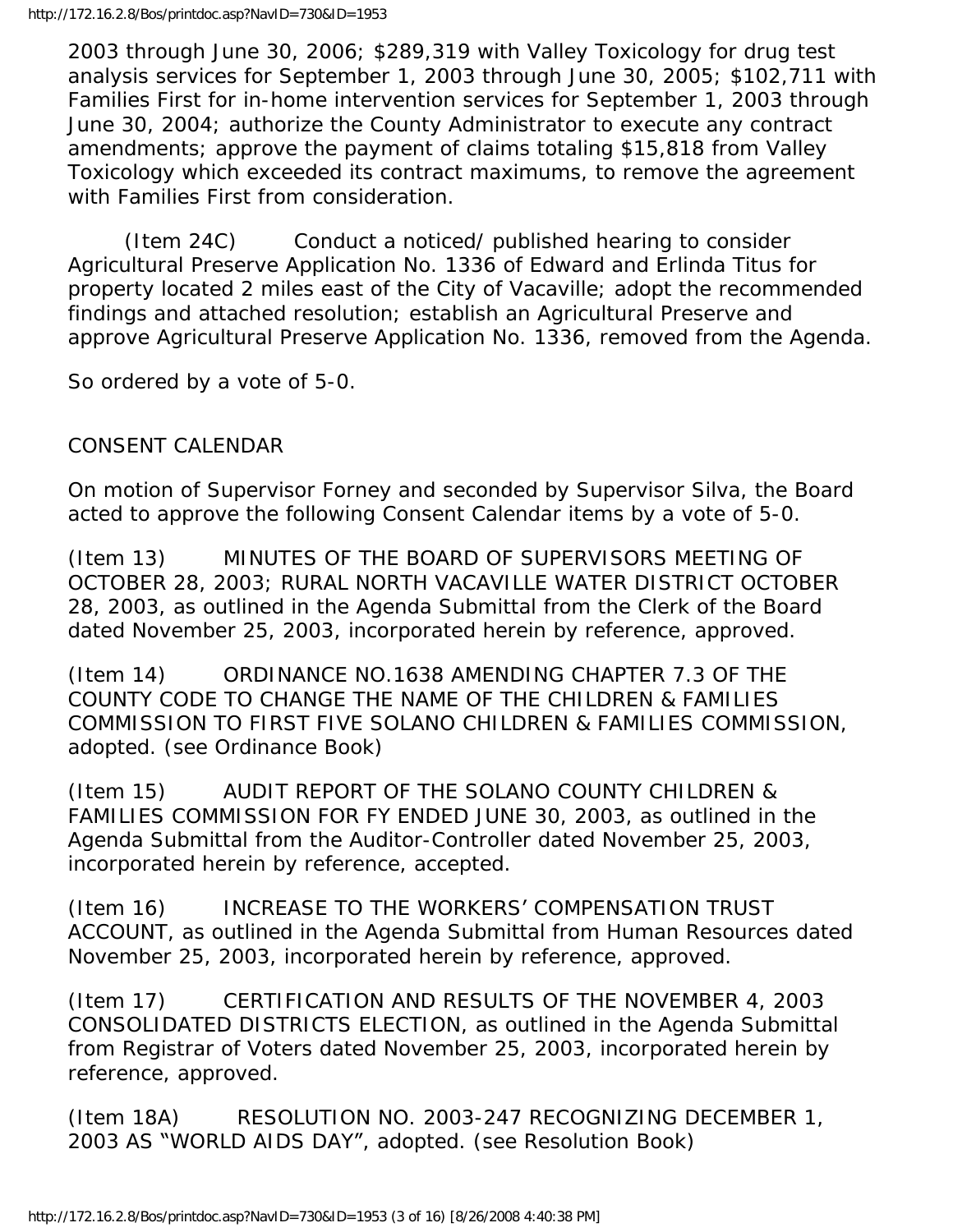2003 through June 30, 2006; \$289,319 with Valley Toxicology for drug test analysis services for September 1, 2003 through June 30, 2005; \$102,711 with Families First for in-home intervention services for September 1, 2003 through June 30, 2004; authorize the County Administrator to execute any contract amendments; approve the payment of claims totaling \$15,818 from Valley Toxicology which exceeded its contract maximums, to remove the agreement with Families First from consideration.

 (Item 24C) Conduct a noticed/ published hearing to consider Agricultural Preserve Application No. 1336 of Edward and Erlinda Titus for property located 2 miles east of the City of Vacaville; adopt the recommended findings and attached resolution; establish an Agricultural Preserve and approve Agricultural Preserve Application No. 1336, removed from the Agenda.

So ordered by a vote of 5-0.

# CONSENT CALENDAR

On motion of Supervisor Forney and seconded by Supervisor Silva, the Board acted to approve the following Consent Calendar items by a vote of 5-0.

(Item 13) MINUTES OF THE BOARD OF SUPERVISORS MEETING OF OCTOBER 28, 2003; RURAL NORTH VACAVILLE WATER DISTRICT OCTOBER 28, 2003, as outlined in the Agenda Submittal from the Clerk of the Board dated November 25, 2003, incorporated herein by reference, approved.

(Item 14) ORDINANCE NO.1638 AMENDING CHAPTER 7.3 OF THE COUNTY CODE TO CHANGE THE NAME OF THE CHILDREN & FAMILIES COMMISSION TO FIRST FIVE SOLANO CHILDREN & FAMILIES COMMISSION, adopted. (see Ordinance Book)

(Item 15) AUDIT REPORT OF THE SOLANO COUNTY CHILDREN & FAMILIES COMMISSION FOR FY ENDED JUNE 30, 2003, as outlined in the Agenda Submittal from the Auditor-Controller dated November 25, 2003, incorporated herein by reference, accepted.

(Item 16) INCREASE TO THE WORKERS' COMPENSATION TRUST ACCOUNT, as outlined in the Agenda Submittal from Human Resources dated November 25, 2003, incorporated herein by reference, approved.

(Item 17) CERTIFICATION AND RESULTS OF THE NOVEMBER 4, 2003 CONSOLIDATED DISTRICTS ELECTION, as outlined in the Agenda Submittal from Registrar of Voters dated November 25, 2003, incorporated herein by reference, approved.

(Item 18A) RESOLUTION NO. 2003-247 RECOGNIZING DECEMBER 1, 2003 AS "WORLD AIDS DAY", adopted. (see Resolution Book)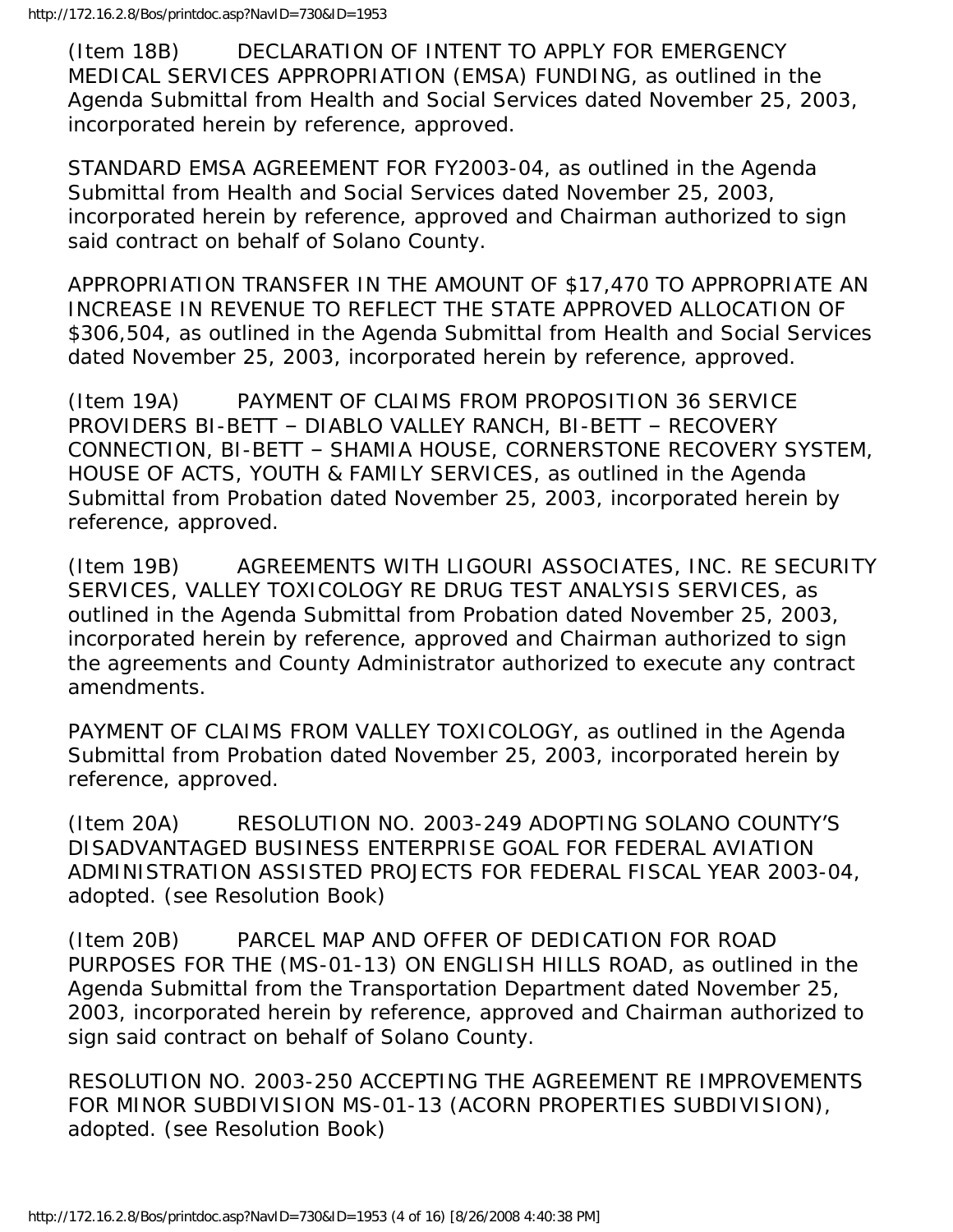(Item 18B) DECLARATION OF INTENT TO APPLY FOR EMERGENCY MEDICAL SERVICES APPROPRIATION (EMSA) FUNDING, as outlined in the Agenda Submittal from Health and Social Services dated November 25, 2003, incorporated herein by reference, approved.

STANDARD EMSA AGREEMENT FOR FY2003-04, as outlined in the Agenda Submittal from Health and Social Services dated November 25, 2003, incorporated herein by reference, approved and Chairman authorized to sign said contract on behalf of Solano County.

APPROPRIATION TRANSFER IN THE AMOUNT OF \$17,470 TO APPROPRIATE AN INCREASE IN REVENUE TO REFLECT THE STATE APPROVED ALLOCATION OF \$306,504, as outlined in the Agenda Submittal from Health and Social Services dated November 25, 2003, incorporated herein by reference, approved.

(Item 19A) PAYMENT OF CLAIMS FROM PROPOSITION 36 SERVICE PROVIDERS BI-BETT – DIABLO VALLEY RANCH, BI-BETT – RECOVERY CONNECTION, BI-BETT – SHAMIA HOUSE, CORNERSTONE RECOVERY SYSTEM, HOUSE OF ACTS, YOUTH & FAMILY SERVICES, as outlined in the Agenda Submittal from Probation dated November 25, 2003, incorporated herein by reference, approved.

(Item 19B) AGREEMENTS WITH LIGOURI ASSOCIATES, INC. RE SECURITY SERVICES, VALLEY TOXICOLOGY RE DRUG TEST ANALYSIS SERVICES, as outlined in the Agenda Submittal from Probation dated November 25, 2003, incorporated herein by reference, approved and Chairman authorized to sign the agreements and County Administrator authorized to execute any contract amendments.

PAYMENT OF CLAIMS FROM VALLEY TOXICOLOGY, as outlined in the Agenda Submittal from Probation dated November 25, 2003, incorporated herein by reference, approved.

(Item 20A) RESOLUTION NO. 2003-249 ADOPTING SOLANO COUNTY'S DISADVANTAGED BUSINESS ENTERPRISE GOAL FOR FEDERAL AVIATION ADMINISTRATION ASSISTED PROJECTS FOR FEDERAL FISCAL YEAR 2003-04, adopted. (see Resolution Book)

(Item 20B) PARCEL MAP AND OFFER OF DEDICATION FOR ROAD PURPOSES FOR THE (MS-01-13) ON ENGLISH HILLS ROAD, as outlined in the Agenda Submittal from the Transportation Department dated November 25, 2003, incorporated herein by reference, approved and Chairman authorized to sign said contract on behalf of Solano County.

RESOLUTION NO. 2003-250 ACCEPTING THE AGREEMENT RE IMPROVEMENTS FOR MINOR SUBDIVISION MS-01-13 (ACORN PROPERTIES SUBDIVISION), adopted. (see Resolution Book)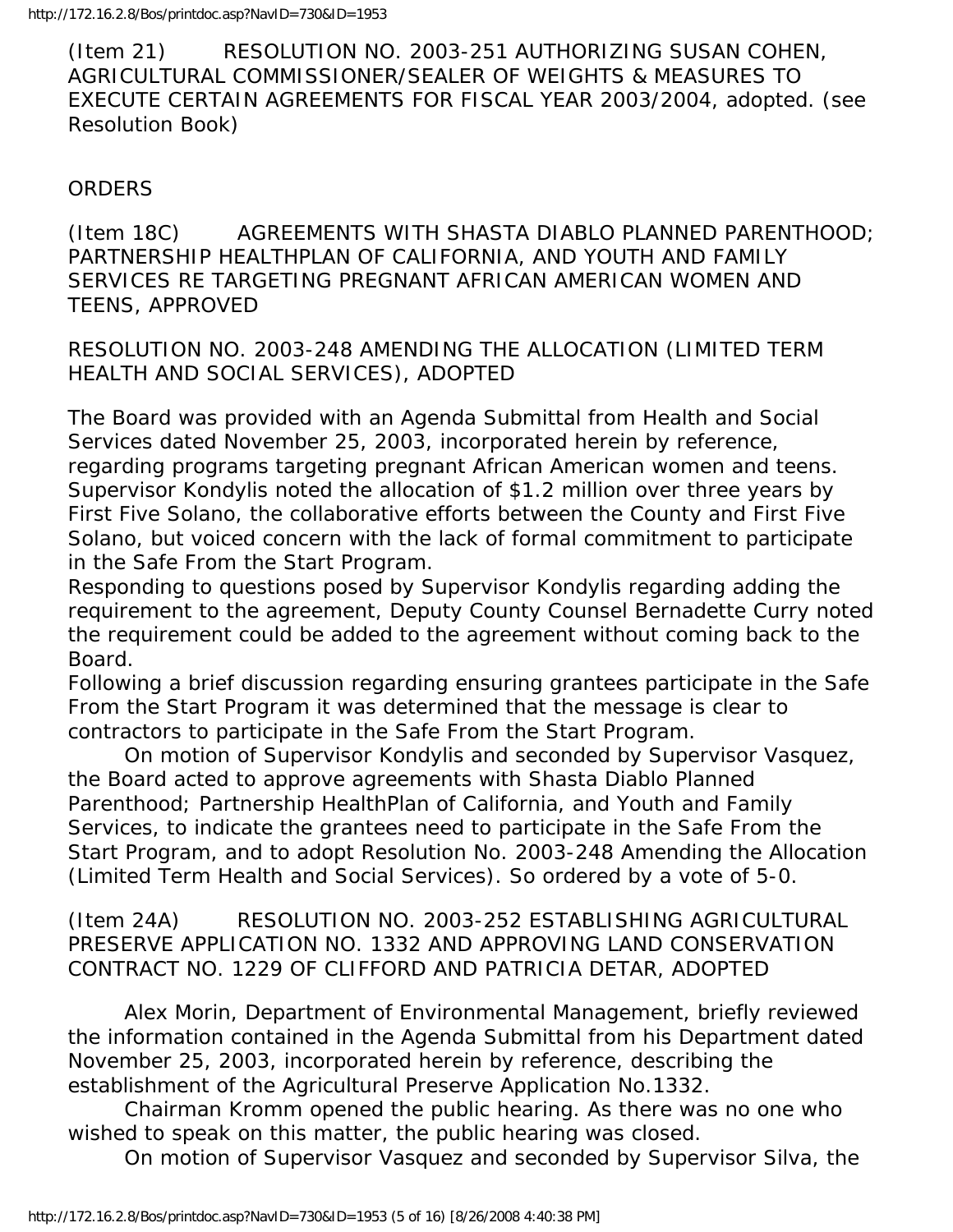(Item 21) RESOLUTION NO. 2003-251 AUTHORIZING SUSAN COHEN, AGRICULTURAL COMMISSIONER/SEALER OF WEIGHTS & MEASURES TO EXECUTE CERTAIN AGREEMENTS FOR FISCAL YEAR 2003/2004, adopted. (see Resolution Book)

#### **ORDERS**

(Item 18C) AGREEMENTS WITH SHASTA DIABLO PLANNED PARENTHOOD; PARTNERSHIP HEALTHPLAN OF CALIFORNIA, AND YOUTH AND FAMILY SERVICES RE TARGETING PREGNANT AFRICAN AMERICAN WOMEN AND TEENS, APPROVED

RESOLUTION NO. 2003-248 AMENDING THE ALLOCATION (LIMITED TERM HEALTH AND SOCIAL SERVICES), ADOPTED

The Board was provided with an Agenda Submittal from Health and Social Services dated November 25, 2003, incorporated herein by reference, regarding programs targeting pregnant African American women and teens. Supervisor Kondylis noted the allocation of \$1.2 million over three years by First Five Solano, the collaborative efforts between the County and First Five Solano, but voiced concern with the lack of formal commitment to participate in the Safe From the Start Program.

Responding to questions posed by Supervisor Kondylis regarding adding the requirement to the agreement, Deputy County Counsel Bernadette Curry noted the requirement could be added to the agreement without coming back to the Board.

Following a brief discussion regarding ensuring grantees participate in the Safe From the Start Program it was determined that the message is clear to contractors to participate in the Safe From the Start Program.

 On motion of Supervisor Kondylis and seconded by Supervisor Vasquez, the Board acted to approve agreements with Shasta Diablo Planned Parenthood; Partnership HealthPlan of California, and Youth and Family Services, to indicate the grantees need to participate in the Safe From the Start Program, and to adopt Resolution No. 2003-248 Amending the Allocation (Limited Term Health and Social Services). So ordered by a vote of 5-0.

(Item 24A) RESOLUTION NO. 2003-252 ESTABLISHING AGRICULTURAL PRESERVE APPLICATION NO. 1332 AND APPROVING LAND CONSERVATION CONTRACT NO. 1229 OF CLIFFORD AND PATRICIA DETAR, ADOPTED

 Alex Morin, Department of Environmental Management, briefly reviewed the information contained in the Agenda Submittal from his Department dated November 25, 2003, incorporated herein by reference, describing the establishment of the Agricultural Preserve Application No.1332.

 Chairman Kromm opened the public hearing. As there was no one who wished to speak on this matter, the public hearing was closed.

On motion of Supervisor Vasquez and seconded by Supervisor Silva, the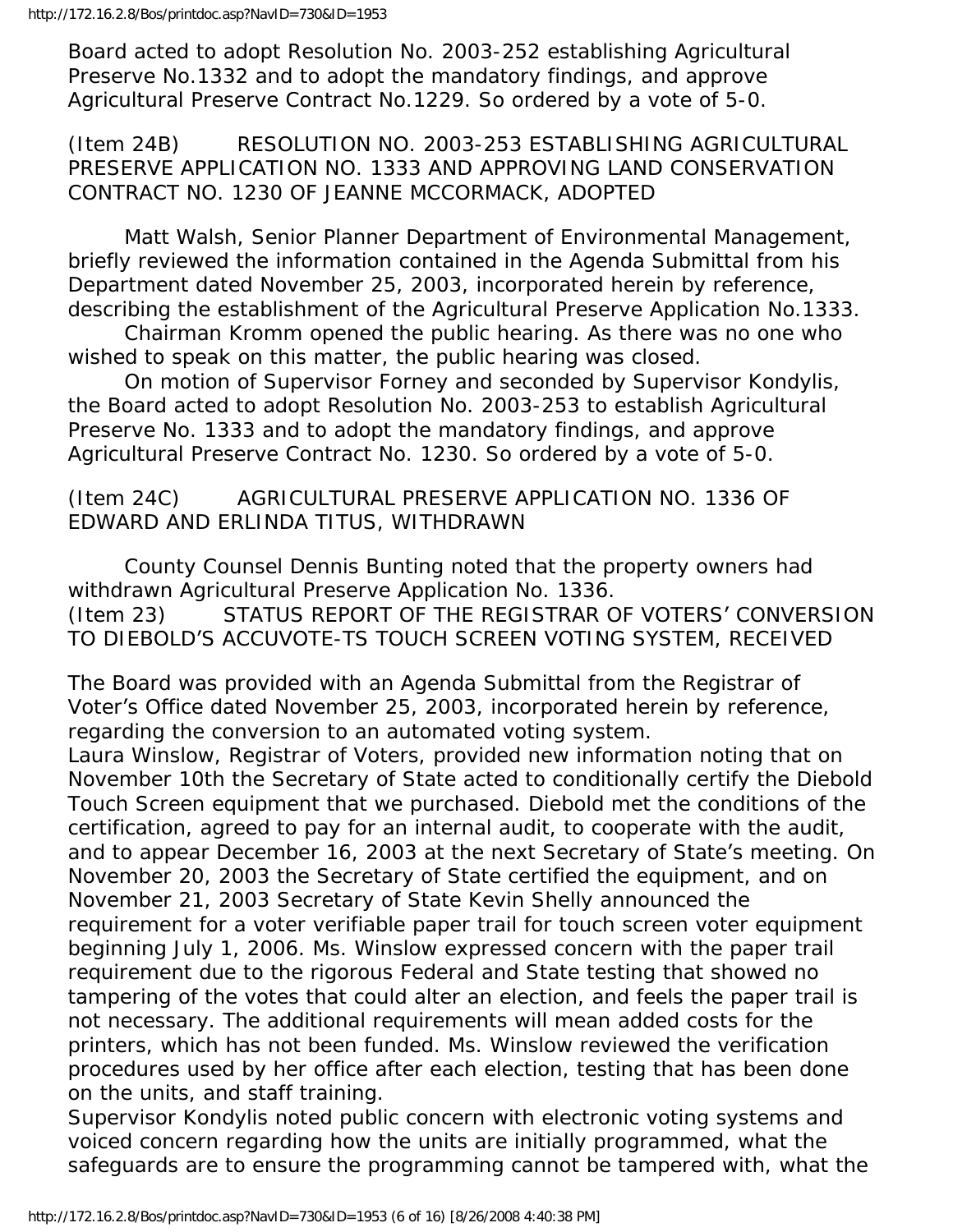Board acted to adopt Resolution No. 2003-252 establishing Agricultural Preserve No.1332 and to adopt the mandatory findings, and approve Agricultural Preserve Contract No.1229. So ordered by a vote of 5-0.

(Item 24B) RESOLUTION NO. 2003-253 ESTABLISHING AGRICULTURAL PRESERVE APPLICATION NO. 1333 AND APPROVING LAND CONSERVATION CONTRACT NO. 1230 OF JEANNE MCCORMACK, ADOPTED

 Matt Walsh, Senior Planner Department of Environmental Management, briefly reviewed the information contained in the Agenda Submittal from his Department dated November 25, 2003, incorporated herein by reference, describing the establishment of the Agricultural Preserve Application No.1333.

 Chairman Kromm opened the public hearing. As there was no one who wished to speak on this matter, the public hearing was closed.

 On motion of Supervisor Forney and seconded by Supervisor Kondylis, the Board acted to adopt Resolution No. 2003-253 to establish Agricultural Preserve No. 1333 and to adopt the mandatory findings, and approve Agricultural Preserve Contract No. 1230. So ordered by a vote of 5-0.

(Item 24C) AGRICULTURAL PRESERVE APPLICATION NO. 1336 OF EDWARD AND ERLINDA TITUS, WITHDRAWN

 County Counsel Dennis Bunting noted that the property owners had withdrawn Agricultural Preserve Application No. 1336. (Item 23) STATUS REPORT OF THE REGISTRAR OF VOTERS' CONVERSION TO DIEBOLD'S ACCUVOTE-TS TOUCH SCREEN VOTING SYSTEM, RECEIVED

The Board was provided with an Agenda Submittal from the Registrar of Voter's Office dated November 25, 2003, incorporated herein by reference, regarding the conversion to an automated voting system.

Laura Winslow, Registrar of Voters, provided new information noting that on November 10th the Secretary of State acted to conditionally certify the Diebold Touch Screen equipment that we purchased. Diebold met the conditions of the certification, agreed to pay for an internal audit, to cooperate with the audit, and to appear December 16, 2003 at the next Secretary of State's meeting. On November 20, 2003 the Secretary of State certified the equipment, and on November 21, 2003 Secretary of State Kevin Shelly announced the requirement for a voter verifiable paper trail for touch screen voter equipment beginning July 1, 2006. Ms. Winslow expressed concern with the paper trail requirement due to the rigorous Federal and State testing that showed no tampering of the votes that could alter an election, and feels the paper trail is not necessary. The additional requirements will mean added costs for the printers, which has not been funded. Ms. Winslow reviewed the verification procedures used by her office after each election, testing that has been done on the units, and staff training.

Supervisor Kondylis noted public concern with electronic voting systems and voiced concern regarding how the units are initially programmed, what the safeguards are to ensure the programming cannot be tampered with, what the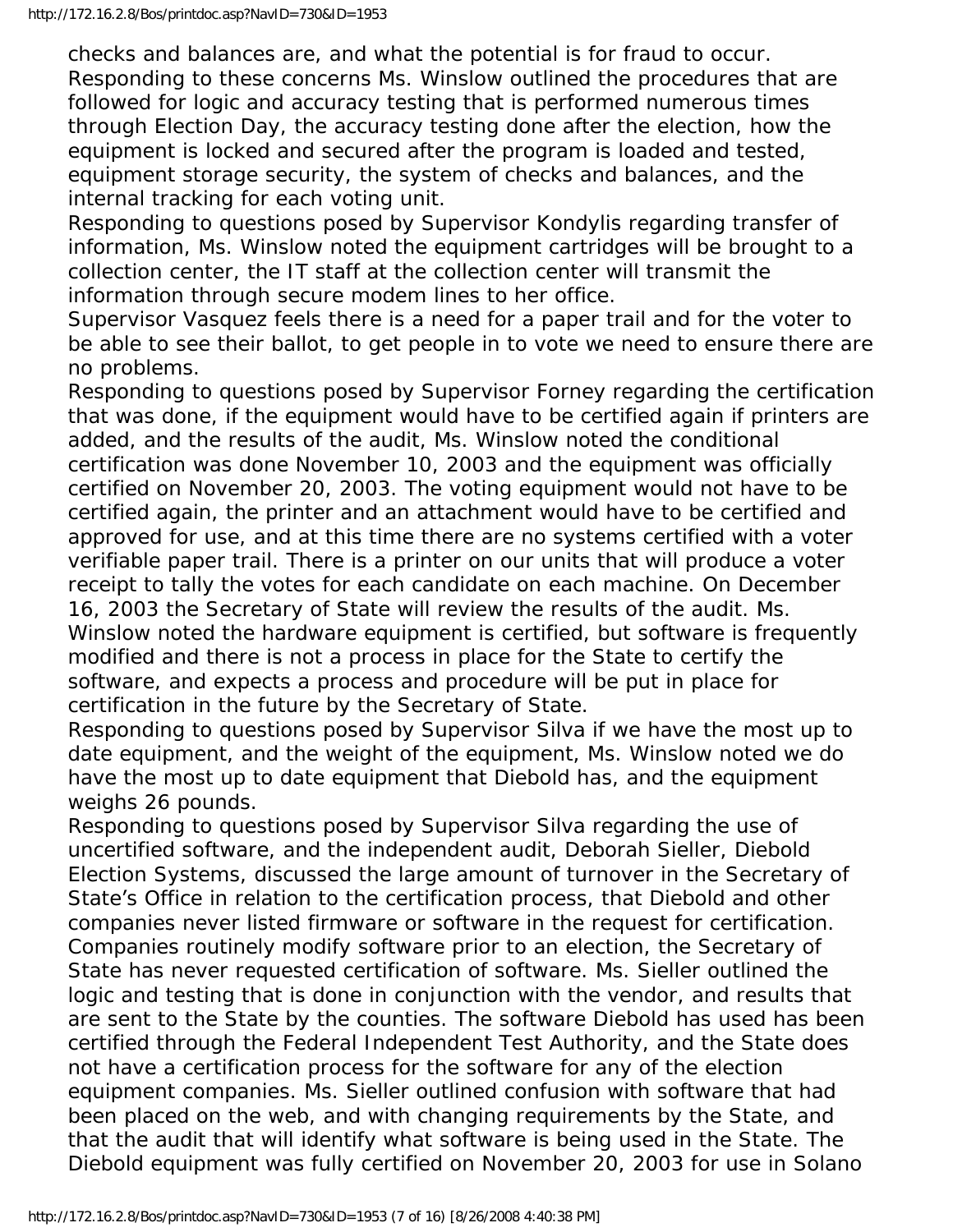checks and balances are, and what the potential is for fraud to occur. Responding to these concerns Ms. Winslow outlined the procedures that are followed for logic and accuracy testing that is performed numerous times through Election Day, the accuracy testing done after the election, how the equipment is locked and secured after the program is loaded and tested, equipment storage security, the system of checks and balances, and the internal tracking for each voting unit.

Responding to questions posed by Supervisor Kondylis regarding transfer of information, Ms. Winslow noted the equipment cartridges will be brought to a collection center, the IT staff at the collection center will transmit the information through secure modem lines to her office.

Supervisor Vasquez feels there is a need for a paper trail and for the voter to be able to see their ballot, to get people in to vote we need to ensure there are no problems.

Responding to questions posed by Supervisor Forney regarding the certification that was done, if the equipment would have to be certified again if printers are added, and the results of the audit, Ms. Winslow noted the conditional certification was done November 10, 2003 and the equipment was officially certified on November 20, 2003. The voting equipment would not have to be certified again, the printer and an attachment would have to be certified and approved for use, and at this time there are no systems certified with a voter verifiable paper trail. There is a printer on our units that will produce a voter receipt to tally the votes for each candidate on each machine. On December 16, 2003 the Secretary of State will review the results of the audit. Ms. Winslow noted the hardware equipment is certified, but software is frequently

modified and there is not a process in place for the State to certify the software, and expects a process and procedure will be put in place for certification in the future by the Secretary of State.

Responding to questions posed by Supervisor Silva if we have the most up to date equipment, and the weight of the equipment, Ms. Winslow noted we do have the most up to date equipment that Diebold has, and the equipment weighs 26 pounds.

Responding to questions posed by Supervisor Silva regarding the use of uncertified software, and the independent audit, Deborah Sieller, Diebold Election Systems, discussed the large amount of turnover in the Secretary of State's Office in relation to the certification process, that Diebold and other companies never listed firmware or software in the request for certification. Companies routinely modify software prior to an election, the Secretary of State has never requested certification of software. Ms. Sieller outlined the logic and testing that is done in conjunction with the vendor, and results that are sent to the State by the counties. The software Diebold has used has been certified through the Federal Independent Test Authority, and the State does not have a certification process for the software for any of the election equipment companies. Ms. Sieller outlined confusion with software that had been placed on the web, and with changing requirements by the State, and that the audit that will identify what software is being used in the State. The Diebold equipment was fully certified on November 20, 2003 for use in Solano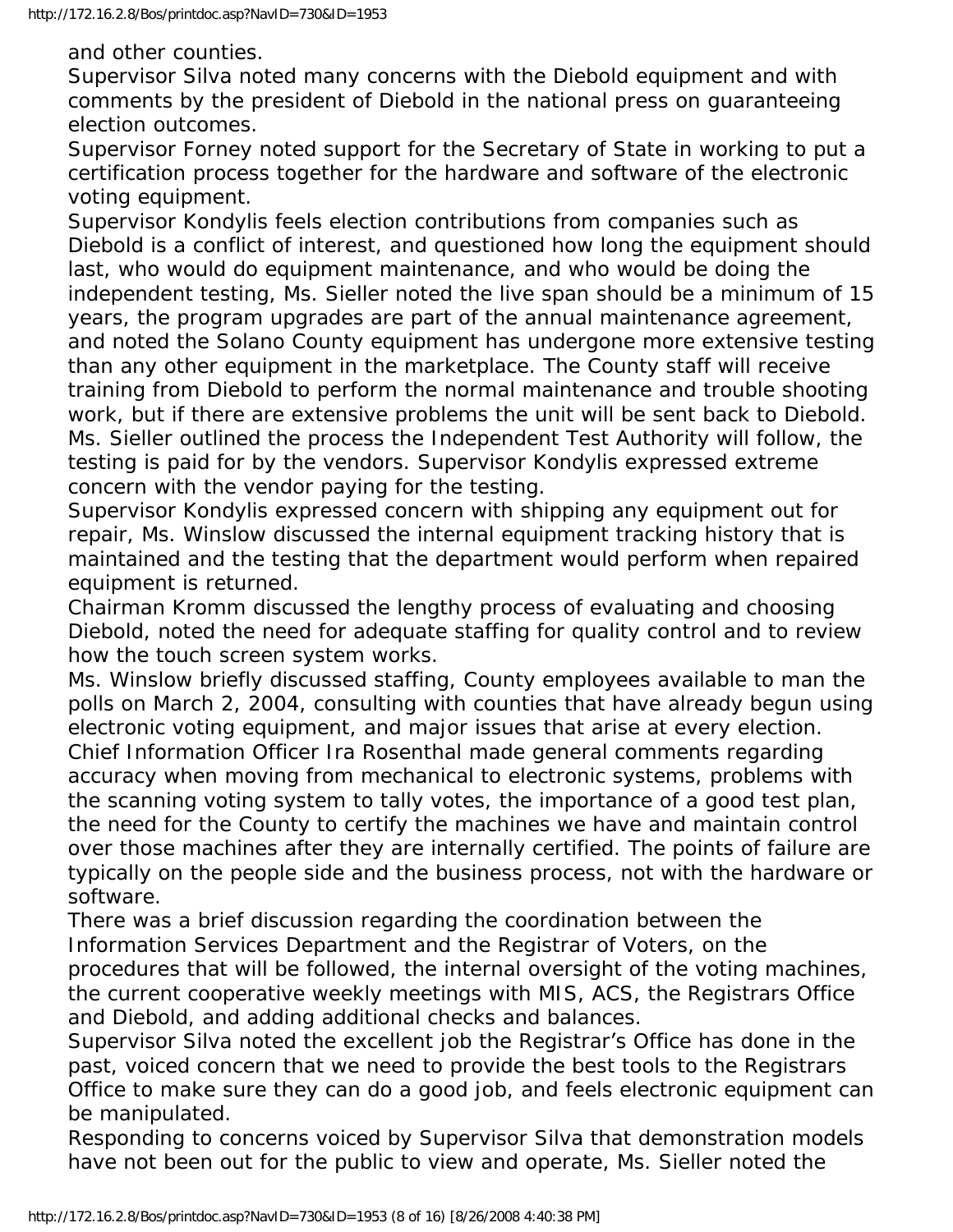and other counties.

Supervisor Silva noted many concerns with the Diebold equipment and with comments by the president of Diebold in the national press on guaranteeing election outcomes.

Supervisor Forney noted support for the Secretary of State in working to put a certification process together for the hardware and software of the electronic voting equipment.

Supervisor Kondylis feels election contributions from companies such as Diebold is a conflict of interest, and questioned how long the equipment should last, who would do equipment maintenance, and who would be doing the independent testing, Ms. Sieller noted the live span should be a minimum of 15 years, the program upgrades are part of the annual maintenance agreement, and noted the Solano County equipment has undergone more extensive testing than any other equipment in the marketplace. The County staff will receive training from Diebold to perform the normal maintenance and trouble shooting work, but if there are extensive problems the unit will be sent back to Diebold. Ms. Sieller outlined the process the Independent Test Authority will follow, the testing is paid for by the vendors. Supervisor Kondylis expressed extreme concern with the vendor paying for the testing.

Supervisor Kondylis expressed concern with shipping any equipment out for repair, Ms. Winslow discussed the internal equipment tracking history that is maintained and the testing that the department would perform when repaired equipment is returned.

Chairman Kromm discussed the lengthy process of evaluating and choosing Diebold, noted the need for adequate staffing for quality control and to review how the touch screen system works.

Ms. Winslow briefly discussed staffing, County employees available to man the polls on March 2, 2004, consulting with counties that have already begun using electronic voting equipment, and major issues that arise at every election. Chief Information Officer Ira Rosenthal made general comments regarding accuracy when moving from mechanical to electronic systems, problems with the scanning voting system to tally votes, the importance of a good test plan, the need for the County to certify the machines we have and maintain control over those machines after they are internally certified. The points of failure are typically on the people side and the business process, not with the hardware or software.

There was a brief discussion regarding the coordination between the Information Services Department and the Registrar of Voters, on the procedures that will be followed, the internal oversight of the voting machines, the current cooperative weekly meetings with MIS, ACS, the Registrars Office and Diebold, and adding additional checks and balances.

Supervisor Silva noted the excellent job the Registrar's Office has done in the past, voiced concern that we need to provide the best tools to the Registrars Office to make sure they can do a good job, and feels electronic equipment can be manipulated.

Responding to concerns voiced by Supervisor Silva that demonstration models have not been out for the public to view and operate, Ms. Sieller noted the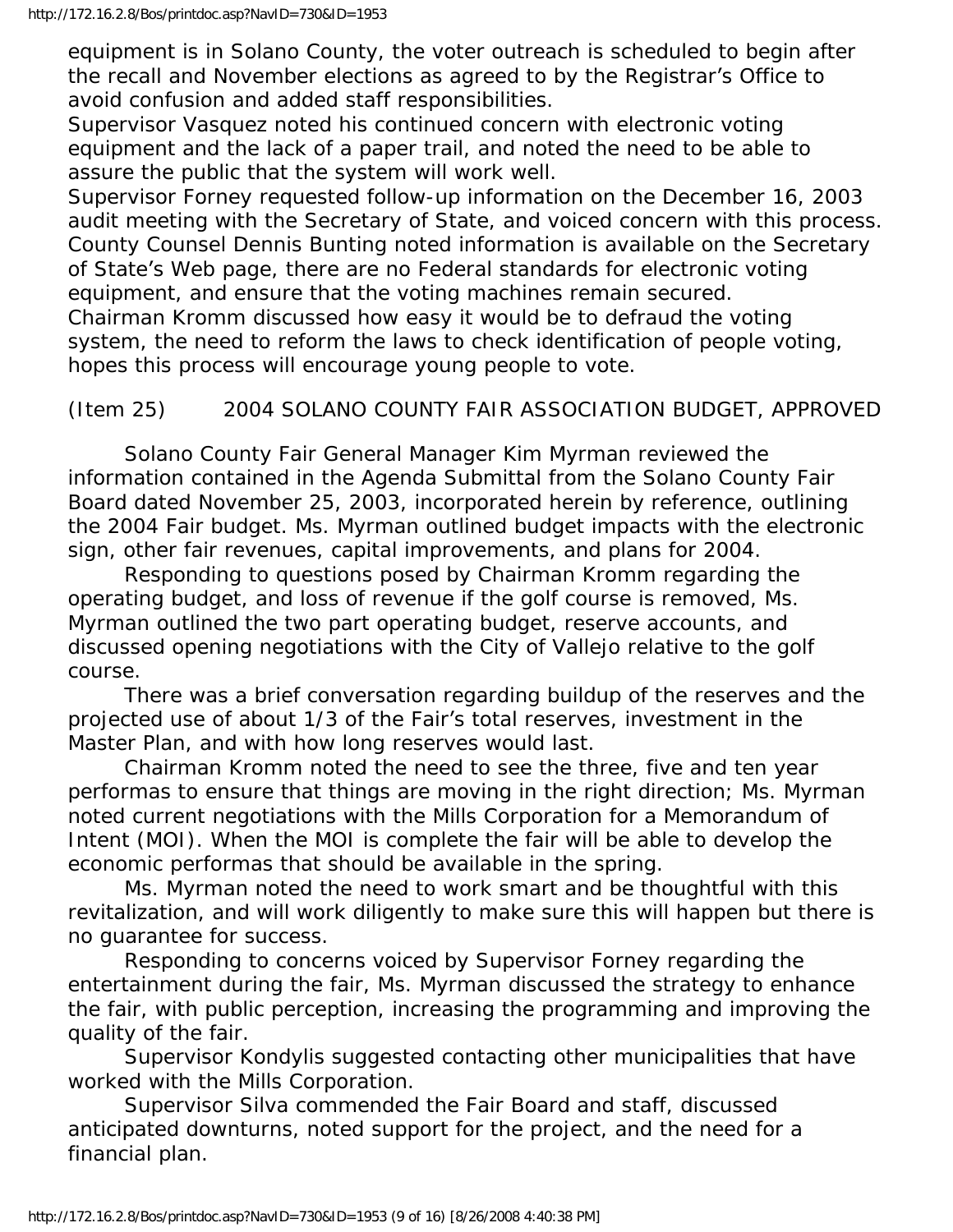equipment is in Solano County, the voter outreach is scheduled to begin after the recall and November elections as agreed to by the Registrar's Office to avoid confusion and added staff responsibilities.

Supervisor Vasquez noted his continued concern with electronic voting equipment and the lack of a paper trail, and noted the need to be able to assure the public that the system will work well.

Supervisor Forney requested follow-up information on the December 16, 2003 audit meeting with the Secretary of State, and voiced concern with this process. County Counsel Dennis Bunting noted information is available on the Secretary of State's Web page, there are no Federal standards for electronic voting equipment, and ensure that the voting machines remain secured. Chairman Kromm discussed how easy it would be to defraud the voting system, the need to reform the laws to check identification of people voting, hopes this process will encourage young people to vote.

## (Item 25) 2004 SOLANO COUNTY FAIR ASSOCIATION BUDGET, APPROVED

 Solano County Fair General Manager Kim Myrman reviewed the information contained in the Agenda Submittal from the Solano County Fair Board dated November 25, 2003, incorporated herein by reference, outlining the 2004 Fair budget. Ms. Myrman outlined budget impacts with the electronic sign, other fair revenues, capital improvements, and plans for 2004.

 Responding to questions posed by Chairman Kromm regarding the operating budget, and loss of revenue if the golf course is removed, Ms. Myrman outlined the two part operating budget, reserve accounts, and discussed opening negotiations with the City of Vallejo relative to the golf course.

 There was a brief conversation regarding buildup of the reserves and the projected use of about 1/3 of the Fair's total reserves, investment in the Master Plan, and with how long reserves would last.

 Chairman Kromm noted the need to see the three, five and ten year performas to ensure that things are moving in the right direction; Ms. Myrman noted current negotiations with the Mills Corporation for a Memorandum of Intent (MOI). When the MOI is complete the fair will be able to develop the economic performas that should be available in the spring.

 Ms. Myrman noted the need to work smart and be thoughtful with this revitalization, and will work diligently to make sure this will happen but there is no guarantee for success.

 Responding to concerns voiced by Supervisor Forney regarding the entertainment during the fair, Ms. Myrman discussed the strategy to enhance the fair, with public perception, increasing the programming and improving the quality of the fair.

 Supervisor Kondylis suggested contacting other municipalities that have worked with the Mills Corporation.

 Supervisor Silva commended the Fair Board and staff, discussed anticipated downturns, noted support for the project, and the need for a financial plan.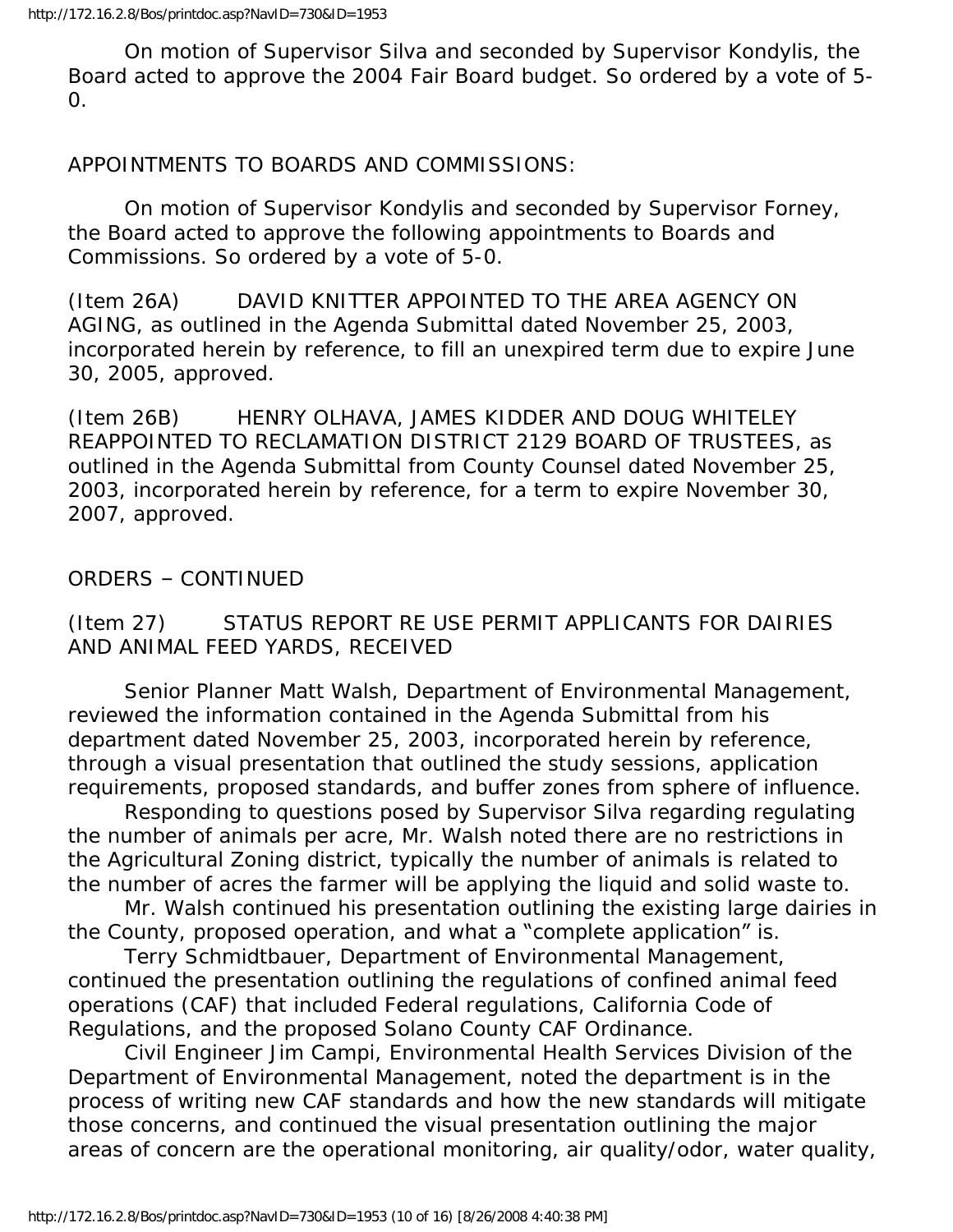On motion of Supervisor Silva and seconded by Supervisor Kondylis, the Board acted to approve the 2004 Fair Board budget. So ordered by a vote of 5- 0.

APPOINTMENTS TO BOARDS AND COMMISSIONS:

 On motion of Supervisor Kondylis and seconded by Supervisor Forney, the Board acted to approve the following appointments to Boards and Commissions. So ordered by a vote of 5-0.

(Item 26A) DAVID KNITTER APPOINTED TO THE AREA AGENCY ON AGING, as outlined in the Agenda Submittal dated November 25, 2003, incorporated herein by reference, to fill an unexpired term due to expire June 30, 2005, approved.

(Item 26B) HENRY OLHAVA, JAMES KIDDER AND DOUG WHITELEY REAPPOINTED TO RECLAMATION DISTRICT 2129 BOARD OF TRUSTEES, as outlined in the Agenda Submittal from County Counsel dated November 25, 2003, incorporated herein by reference, for a term to expire November 30, 2007, approved.

ORDERS – CONTINUED

(Item 27) STATUS REPORT RE USE PERMIT APPLICANTS FOR DAIRIES AND ANIMAL FEED YARDS, RECEIVED

 Senior Planner Matt Walsh, Department of Environmental Management, reviewed the information contained in the Agenda Submittal from his department dated November 25, 2003, incorporated herein by reference, through a visual presentation that outlined the study sessions, application requirements, proposed standards, and buffer zones from sphere of influence.

 Responding to questions posed by Supervisor Silva regarding regulating the number of animals per acre, Mr. Walsh noted there are no restrictions in the Agricultural Zoning district, typically the number of animals is related to the number of acres the farmer will be applying the liquid and solid waste to.

 Mr. Walsh continued his presentation outlining the existing large dairies in the County, proposed operation, and what a "complete application" is.

 Terry Schmidtbauer, Department of Environmental Management, continued the presentation outlining the regulations of confined animal feed operations (CAF) that included Federal regulations, California Code of Regulations, and the proposed Solano County CAF Ordinance.

 Civil Engineer Jim Campi, Environmental Health Services Division of the Department of Environmental Management, noted the department is in the process of writing new CAF standards and how the new standards will mitigate those concerns, and continued the visual presentation outlining the major areas of concern are the operational monitoring, air quality/odor, water quality,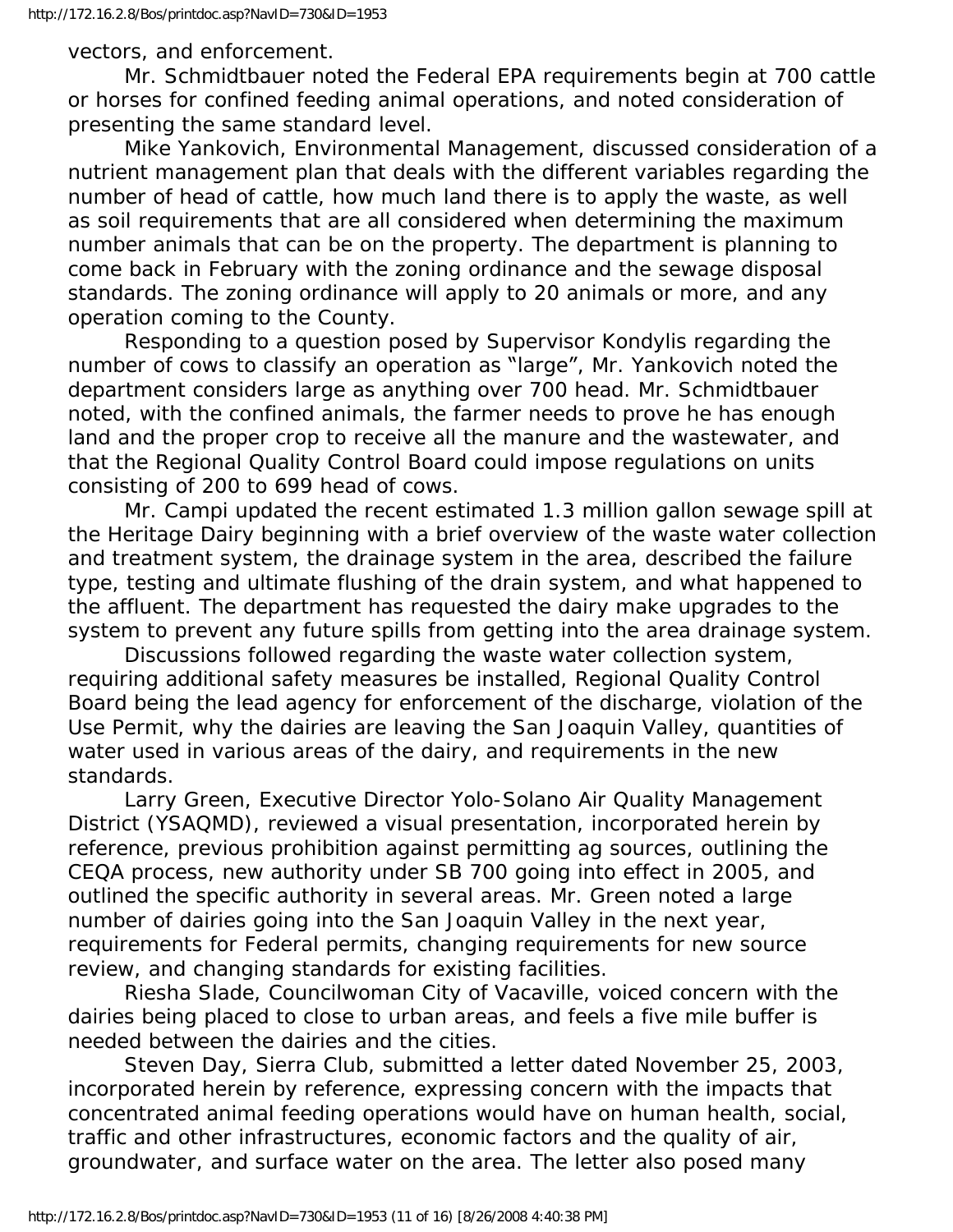vectors, and enforcement.

 Mr. Schmidtbauer noted the Federal EPA requirements begin at 700 cattle or horses for confined feeding animal operations, and noted consideration of presenting the same standard level.

 Mike Yankovich, Environmental Management, discussed consideration of a nutrient management plan that deals with the different variables regarding the number of head of cattle, how much land there is to apply the waste, as well as soil requirements that are all considered when determining the maximum number animals that can be on the property. The department is planning to come back in February with the zoning ordinance and the sewage disposal standards. The zoning ordinance will apply to 20 animals or more, and any operation coming to the County.

 Responding to a question posed by Supervisor Kondylis regarding the number of cows to classify an operation as "large", Mr. Yankovich noted the department considers large as anything over 700 head. Mr. Schmidtbauer noted, with the confined animals, the farmer needs to prove he has enough land and the proper crop to receive all the manure and the wastewater, and that the Regional Quality Control Board could impose regulations on units consisting of 200 to 699 head of cows.

 Mr. Campi updated the recent estimated 1.3 million gallon sewage spill at the Heritage Dairy beginning with a brief overview of the waste water collection and treatment system, the drainage system in the area, described the failure type, testing and ultimate flushing of the drain system, and what happened to the affluent. The department has requested the dairy make upgrades to the system to prevent any future spills from getting into the area drainage system.

 Discussions followed regarding the waste water collection system, requiring additional safety measures be installed, Regional Quality Control Board being the lead agency for enforcement of the discharge, violation of the Use Permit, why the dairies are leaving the San Joaquin Valley, quantities of water used in various areas of the dairy, and requirements in the new standards.

 Larry Green, Executive Director Yolo-Solano Air Quality Management District (YSAQMD), reviewed a visual presentation, incorporated herein by reference, previous prohibition against permitting ag sources, outlining the CEQA process, new authority under SB 700 going into effect in 2005, and outlined the specific authority in several areas. Mr. Green noted a large number of dairies going into the San Joaquin Valley in the next year, requirements for Federal permits, changing requirements for new source review, and changing standards for existing facilities.

 Riesha Slade, Councilwoman City of Vacaville, voiced concern with the dairies being placed to close to urban areas, and feels a five mile buffer is needed between the dairies and the cities.

 Steven Day, Sierra Club, submitted a letter dated November 25, 2003, incorporated herein by reference, expressing concern with the impacts that concentrated animal feeding operations would have on human health, social, traffic and other infrastructures, economic factors and the quality of air, groundwater, and surface water on the area. The letter also posed many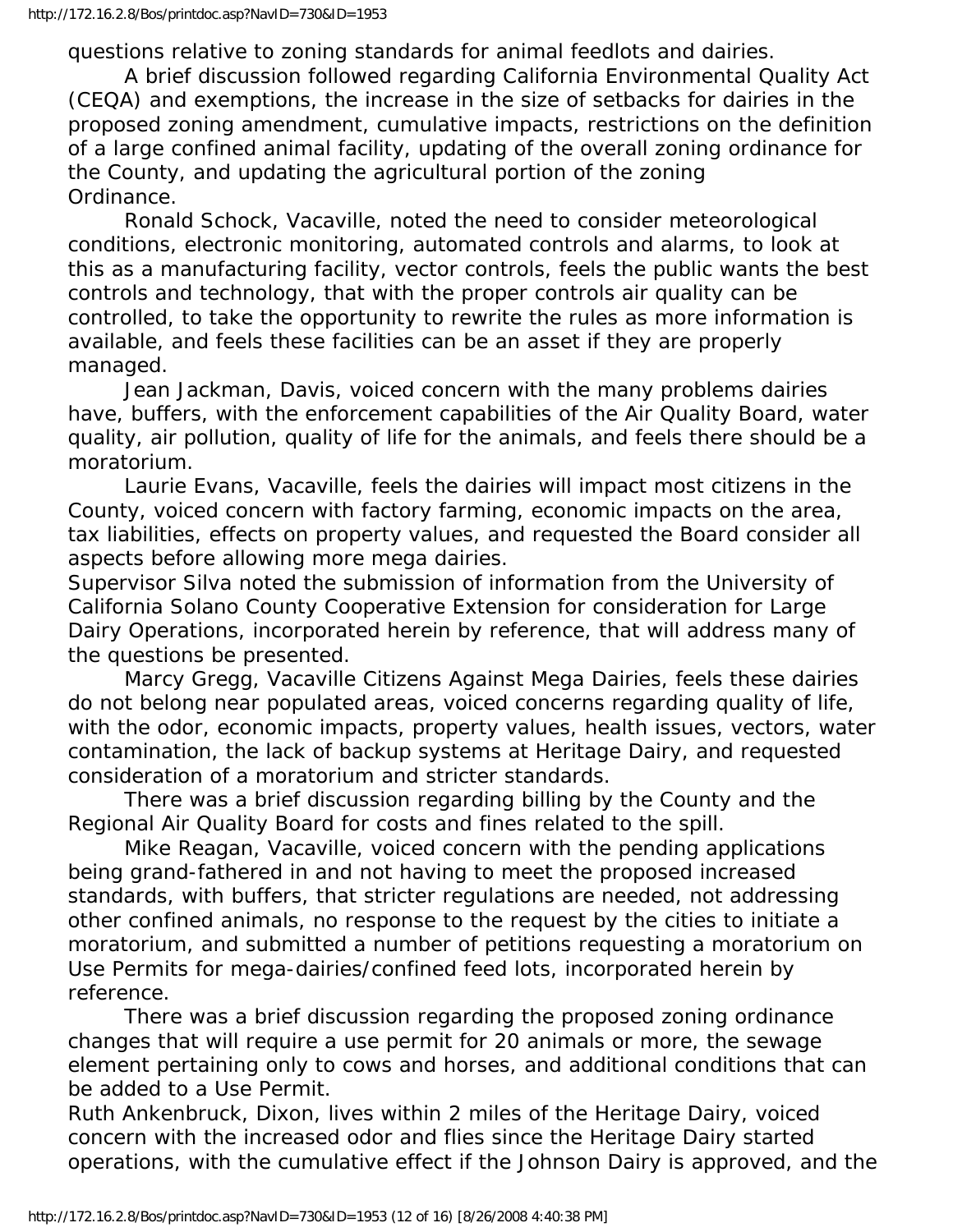questions relative to zoning standards for animal feedlots and dairies.

 A brief discussion followed regarding California Environmental Quality Act (CEQA) and exemptions, the increase in the size of setbacks for dairies in the proposed zoning amendment, cumulative impacts, restrictions on the definition of a large confined animal facility, updating of the overall zoning ordinance for the County, and updating the agricultural portion of the zoning Ordinance.

 Ronald Schock, Vacaville, noted the need to consider meteorological conditions, electronic monitoring, automated controls and alarms, to look at this as a manufacturing facility, vector controls, feels the public wants the best controls and technology, that with the proper controls air quality can be controlled, to take the opportunity to rewrite the rules as more information is available, and feels these facilities can be an asset if they are properly managed.

 Jean Jackman, Davis, voiced concern with the many problems dairies have, buffers, with the enforcement capabilities of the Air Quality Board, water quality, air pollution, quality of life for the animals, and feels there should be a moratorium.

 Laurie Evans, Vacaville, feels the dairies will impact most citizens in the County, voiced concern with factory farming, economic impacts on the area, tax liabilities, effects on property values, and requested the Board consider all aspects before allowing more mega dairies.

Supervisor Silva noted the submission of information from the University of California Solano County Cooperative Extension for consideration for Large Dairy Operations, incorporated herein by reference, that will address many of the questions be presented.

 Marcy Gregg, Vacaville Citizens Against Mega Dairies, feels these dairies do not belong near populated areas, voiced concerns regarding quality of life, with the odor, economic impacts, property values, health issues, vectors, water contamination, the lack of backup systems at Heritage Dairy, and requested consideration of a moratorium and stricter standards.

 There was a brief discussion regarding billing by the County and the Regional Air Quality Board for costs and fines related to the spill.

 Mike Reagan, Vacaville, voiced concern with the pending applications being grand-fathered in and not having to meet the proposed increased standards, with buffers, that stricter regulations are needed, not addressing other confined animals, no response to the request by the cities to initiate a moratorium, and submitted a number of petitions requesting a moratorium on Use Permits for mega-dairies/confined feed lots, incorporated herein by reference.

 There was a brief discussion regarding the proposed zoning ordinance changes that will require a use permit for 20 animals or more, the sewage element pertaining only to cows and horses, and additional conditions that can be added to a Use Permit.

Ruth Ankenbruck, Dixon, lives within 2 miles of the Heritage Dairy, voiced concern with the increased odor and flies since the Heritage Dairy started operations, with the cumulative effect if the Johnson Dairy is approved, and the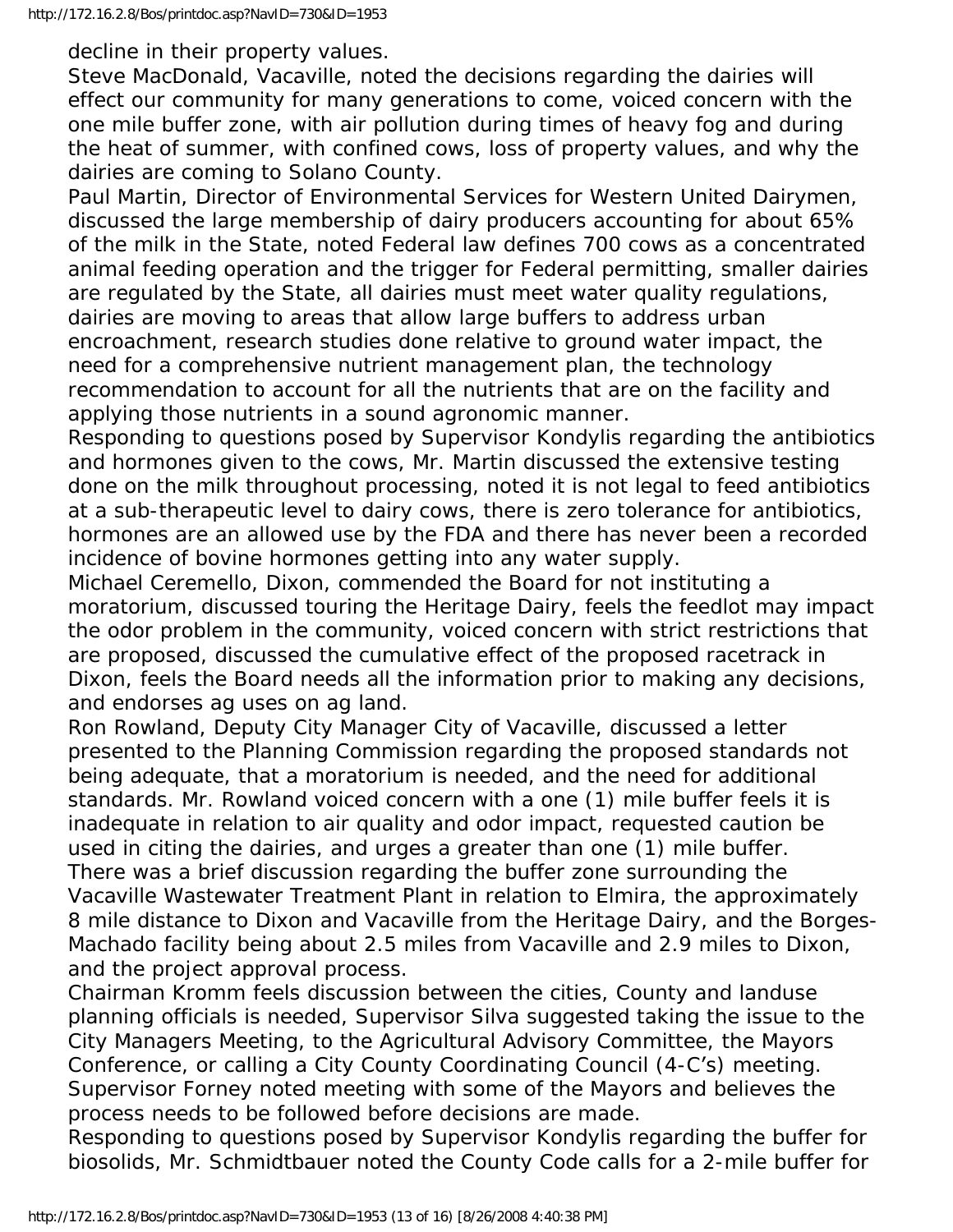decline in their property values.

Steve MacDonald, Vacaville, noted the decisions regarding the dairies will effect our community for many generations to come, voiced concern with the one mile buffer zone, with air pollution during times of heavy fog and during the heat of summer, with confined cows, loss of property values, and why the dairies are coming to Solano County.

Paul Martin, Director of Environmental Services for Western United Dairymen, discussed the large membership of dairy producers accounting for about 65% of the milk in the State, noted Federal law defines 700 cows as a concentrated animal feeding operation and the trigger for Federal permitting, smaller dairies are regulated by the State, all dairies must meet water quality regulations, dairies are moving to areas that allow large buffers to address urban encroachment, research studies done relative to ground water impact, the need for a comprehensive nutrient management plan, the technology recommendation to account for all the nutrients that are on the facility and applying those nutrients in a sound agronomic manner.

Responding to questions posed by Supervisor Kondylis regarding the antibiotics and hormones given to the cows, Mr. Martin discussed the extensive testing done on the milk throughout processing, noted it is not legal to feed antibiotics at a sub-therapeutic level to dairy cows, there is zero tolerance for antibiotics, hormones are an allowed use by the FDA and there has never been a recorded incidence of bovine hormones getting into any water supply.

Michael Ceremello, Dixon, commended the Board for not instituting a moratorium, discussed touring the Heritage Dairy, feels the feedlot may impact the odor problem in the community, voiced concern with strict restrictions that are proposed, discussed the cumulative effect of the proposed racetrack in Dixon, feels the Board needs all the information prior to making any decisions, and endorses ag uses on ag land.

Ron Rowland, Deputy City Manager City of Vacaville, discussed a letter presented to the Planning Commission regarding the proposed standards not being adequate, that a moratorium is needed, and the need for additional standards. Mr. Rowland voiced concern with a one (1) mile buffer feels it is inadequate in relation to air quality and odor impact, requested caution be used in citing the dairies, and urges a greater than one (1) mile buffer. There was a brief discussion regarding the buffer zone surrounding the Vacaville Wastewater Treatment Plant in relation to Elmira, the approximately 8 mile distance to Dixon and Vacaville from the Heritage Dairy, and the Borges-Machado facility being about 2.5 miles from Vacaville and 2.9 miles to Dixon, and the project approval process.

Chairman Kromm feels discussion between the cities, County and landuse planning officials is needed, Supervisor Silva suggested taking the issue to the City Managers Meeting, to the Agricultural Advisory Committee, the Mayors Conference, or calling a City County Coordinating Council (4-C's) meeting. Supervisor Forney noted meeting with some of the Mayors and believes the process needs to be followed before decisions are made.

Responding to questions posed by Supervisor Kondylis regarding the buffer for biosolids, Mr. Schmidtbauer noted the County Code calls for a 2-mile buffer for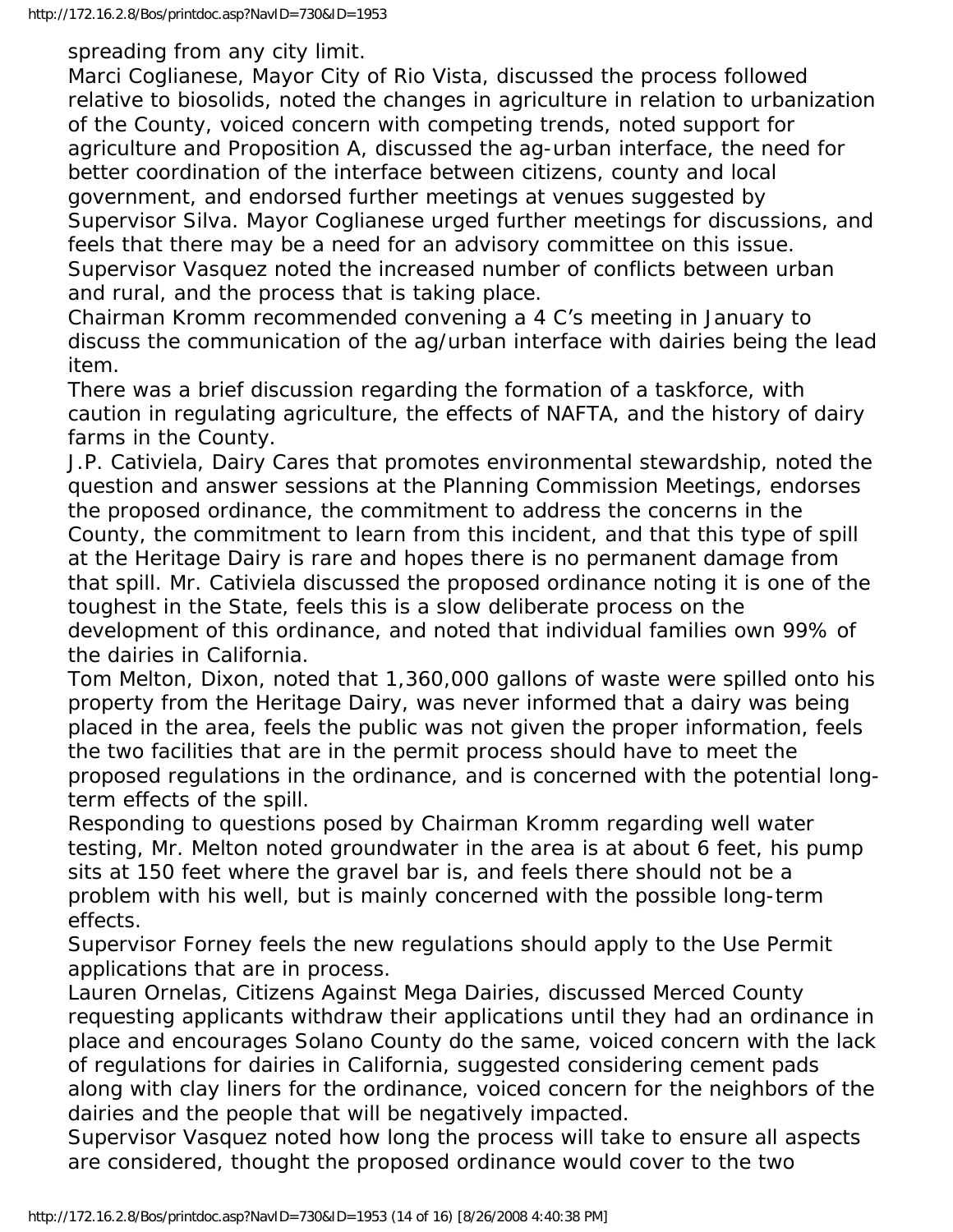spreading from any city limit.

Marci Coglianese, Mayor City of Rio Vista, discussed the process followed relative to biosolids, noted the changes in agriculture in relation to urbanization of the County, voiced concern with competing trends, noted support for agriculture and Proposition A, discussed the ag-urban interface, the need for better coordination of the interface between citizens, county and local government, and endorsed further meetings at venues suggested by Supervisor Silva. Mayor Coglianese urged further meetings for discussions, and feels that there may be a need for an advisory committee on this issue. Supervisor Vasquez noted the increased number of conflicts between urban and rural, and the process that is taking place.

Chairman Kromm recommended convening a 4 C's meeting in January to discuss the communication of the ag/urban interface with dairies being the lead item.

There was a brief discussion regarding the formation of a taskforce, with caution in regulating agriculture, the effects of NAFTA, and the history of dairy farms in the County.

J.P. Cativiela, Dairy Cares that promotes environmental stewardship, noted the question and answer sessions at the Planning Commission Meetings, endorses the proposed ordinance, the commitment to address the concerns in the County, the commitment to learn from this incident, and that this type of spill at the Heritage Dairy is rare and hopes there is no permanent damage from that spill. Mr. Cativiela discussed the proposed ordinance noting it is one of the toughest in the State, feels this is a slow deliberate process on the development of this ordinance, and noted that individual families own 99% of the dairies in California.

Tom Melton, Dixon, noted that 1,360,000 gallons of waste were spilled onto his property from the Heritage Dairy, was never informed that a dairy was being placed in the area, feels the public was not given the proper information, feels the two facilities that are in the permit process should have to meet the proposed regulations in the ordinance, and is concerned with the potential longterm effects of the spill.

Responding to questions posed by Chairman Kromm regarding well water testing, Mr. Melton noted groundwater in the area is at about 6 feet, his pump sits at 150 feet where the gravel bar is, and feels there should not be a problem with his well, but is mainly concerned with the possible long-term effects.

Supervisor Forney feels the new regulations should apply to the Use Permit applications that are in process.

Lauren Ornelas, Citizens Against Mega Dairies, discussed Merced County requesting applicants withdraw their applications until they had an ordinance in place and encourages Solano County do the same, voiced concern with the lack of regulations for dairies in California, suggested considering cement pads along with clay liners for the ordinance, voiced concern for the neighbors of the dairies and the people that will be negatively impacted.

Supervisor Vasquez noted how long the process will take to ensure all aspects are considered, thought the proposed ordinance would cover to the two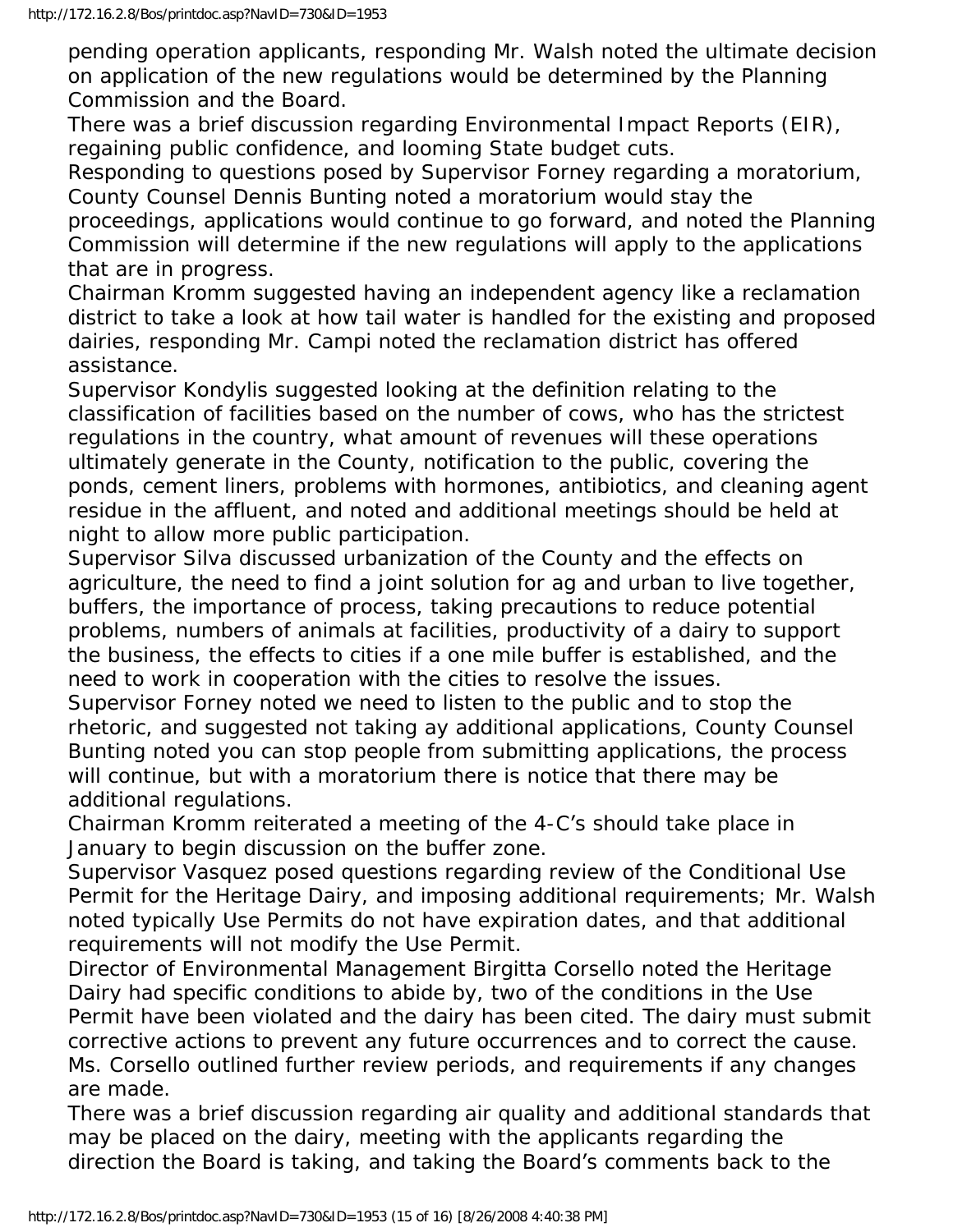pending operation applicants, responding Mr. Walsh noted the ultimate decision on application of the new regulations would be determined by the Planning Commission and the Board.

There was a brief discussion regarding Environmental Impact Reports (EIR), regaining public confidence, and looming State budget cuts.

Responding to questions posed by Supervisor Forney regarding a moratorium, County Counsel Dennis Bunting noted a moratorium would stay the

proceedings, applications would continue to go forward, and noted the Planning Commission will determine if the new regulations will apply to the applications that are in progress.

Chairman Kromm suggested having an independent agency like a reclamation district to take a look at how tail water is handled for the existing and proposed dairies, responding Mr. Campi noted the reclamation district has offered assistance.

Supervisor Kondylis suggested looking at the definition relating to the classification of facilities based on the number of cows, who has the strictest regulations in the country, what amount of revenues will these operations ultimately generate in the County, notification to the public, covering the ponds, cement liners, problems with hormones, antibiotics, and cleaning agent residue in the affluent, and noted and additional meetings should be held at night to allow more public participation.

Supervisor Silva discussed urbanization of the County and the effects on agriculture, the need to find a joint solution for ag and urban to live together, buffers, the importance of process, taking precautions to reduce potential problems, numbers of animals at facilities, productivity of a dairy to support the business, the effects to cities if a one mile buffer is established, and the need to work in cooperation with the cities to resolve the issues.

Supervisor Forney noted we need to listen to the public and to stop the rhetoric, and suggested not taking ay additional applications, County Counsel Bunting noted you can stop people from submitting applications, the process will continue, but with a moratorium there is notice that there may be additional regulations.

Chairman Kromm reiterated a meeting of the 4-C's should take place in January to begin discussion on the buffer zone.

Supervisor Vasquez posed questions regarding review of the Conditional Use Permit for the Heritage Dairy, and imposing additional requirements; Mr. Walsh noted typically Use Permits do not have expiration dates, and that additional requirements will not modify the Use Permit.

Director of Environmental Management Birgitta Corsello noted the Heritage Dairy had specific conditions to abide by, two of the conditions in the Use Permit have been violated and the dairy has been cited. The dairy must submit corrective actions to prevent any future occurrences and to correct the cause. Ms. Corsello outlined further review periods, and requirements if any changes are made.

There was a brief discussion regarding air quality and additional standards that may be placed on the dairy, meeting with the applicants regarding the direction the Board is taking, and taking the Board's comments back to the